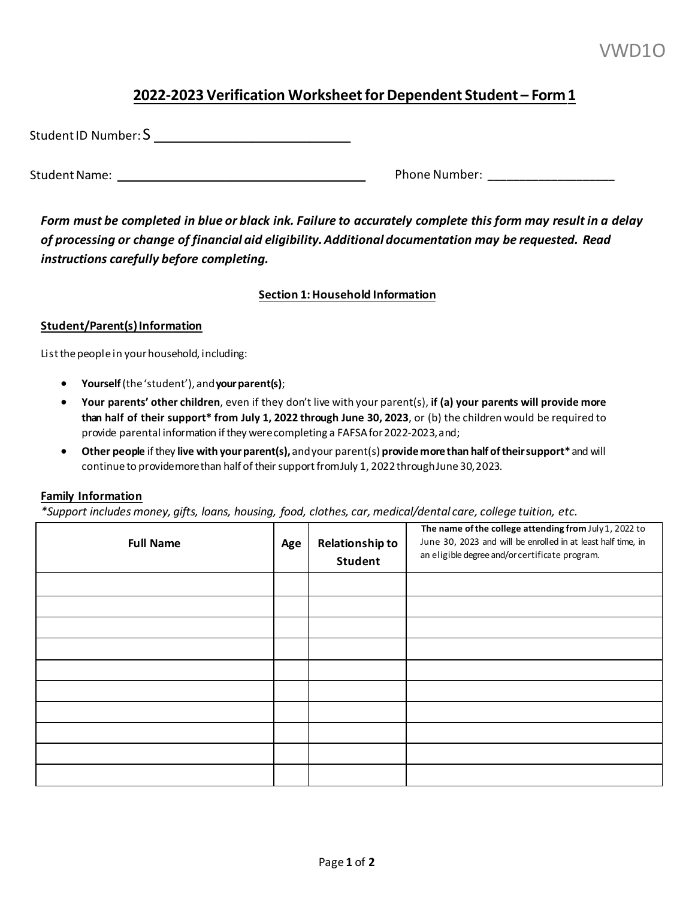# **2022-2023 Verification Worksheet for Dependent Student – Form1**

| Student ID Number: S |  |
|----------------------|--|
|                      |  |

Student Name: **\_\_\_\_\_\_\_\_\_\_\_\_\_\_\_\_\_\_\_\_\_\_\_\_\_\_\_\_\_\_\_\_\_\_\_\_\_\_\_** Phone Number: **\_\_\_\_\_\_\_\_\_\_\_\_\_\_\_\_\_\_\_\_**

 *Form must be completed in blue or black ink. Failure to accurately complete this form may result in a delay of processing or change of financial aid eligibility. Additional documentation may be requested. Read instructions carefully before completing.* 

### **Section 1: Household Information**

### **Student/Parent(s) Information**

List the people in your household, including:

- **Yourself** (the 'student'), and**your parent(s)**;
- **than half of their support\* from July 1, 2022 through June 30, 2023**, or (b) the children would be required to provide parental information if they were completing a FAFSA for 2022-2023, and; • **Your parents' other children**, even if they don't live with your parent(s), **if (a) your parents will provide more**
- **Other people** if they **live with yourparent(s),** andyour parent(s) **providemore than half of their support\*** and will continue to providemore than half of their support fromJuly 1, 2022 throughJune 30, 2023.

### **Family Information**

 *\*Support includes money, gifts, loans, housing, food, clothes, car, medical/dental care, college tuition, etc.*

| <b>Full Name</b> | Age | <b>Relationship to</b><br><b>Student</b> | The name of the college attending from July 1, 2022 to<br>June 30, 2023 and will be enrolled in at least half time, in<br>an eligible degree and/or certificate program. |
|------------------|-----|------------------------------------------|--------------------------------------------------------------------------------------------------------------------------------------------------------------------------|
|                  |     |                                          |                                                                                                                                                                          |
|                  |     |                                          |                                                                                                                                                                          |
|                  |     |                                          |                                                                                                                                                                          |
|                  |     |                                          |                                                                                                                                                                          |
|                  |     |                                          |                                                                                                                                                                          |
|                  |     |                                          |                                                                                                                                                                          |
|                  |     |                                          |                                                                                                                                                                          |
|                  |     |                                          |                                                                                                                                                                          |
|                  |     |                                          |                                                                                                                                                                          |
|                  |     |                                          |                                                                                                                                                                          |